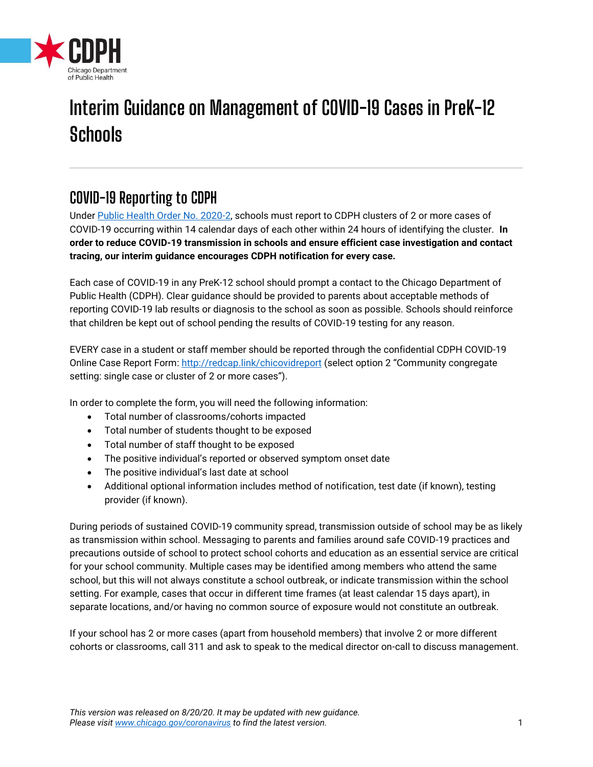

# **Interim Guidance on Management of COVID-19 Cases in PreK-12 Schools**

# **COVID-19 Reporting to CDPH**

Under [Public Health Order No. 2020-2,](https://www.chicago.gov/content/dam/city/depts/cdph/HealthProtectionandResponse/CDPH%20Order%202020-2%20hospital%20duties%20AMENDED%20AND%20RE-ISSUED_AA.pdf) schools must report to CDPH clusters of 2 or more cases of COVID-19 occurring within 14 calendar days of each other within 24 hours of identifying the cluster. **In order to reduce COVID-19 transmission in schools and ensure efficient case investigation and contact tracing, our interim guidance encourages CDPH notification for every case.**

Each case of COVID-19 in any PreK-12 school should prompt a contact to the Chicago Department of Public Health (CDPH). Clear guidance should be provided to parents about acceptable methods of reporting COVID-19 lab results or diagnosis to the school as soon as possible. Schools should reinforce that children be kept out of school pending the results of COVID-19 testing for any reason.

EVERY case in a student or staff member should be reported through the confidential CDPH COVID-19 Online Case Report Form[: http://redcap.link/chicovidreport](http://redcap.link/chicovidreport) (select option 2 "Community congregate setting: single case or cluster of 2 or more cases").

In order to complete the form, you will need the following information:

- Total number of classrooms/cohorts impacted
- Total number of students thought to be exposed
- Total number of staff thought to be exposed
- The positive individual's reported or observed symptom onset date
- The positive individual's last date at school
- Additional optional information includes method of notification, test date (if known), testing provider (if known).

During periods of sustained COVID-19 community spread, transmission outside of school may be as likely as transmission within school. Messaging to parents and families around safe COVID-19 practices and precautions outside of school to protect school cohorts and education as an essential service are critical for your school community. Multiple cases may be identified among members who attend the same school, but this will not always constitute a school outbreak, or indicate transmission within the school setting. For example, cases that occur in different time frames (at least calendar 15 days apart), in separate locations, and/or having no common source of exposure would not constitute an outbreak.

If your school has 2 or more cases (apart from household members) that involve 2 or more different cohorts or classrooms, call 311 and ask to speak to the medical director on-call to discuss management.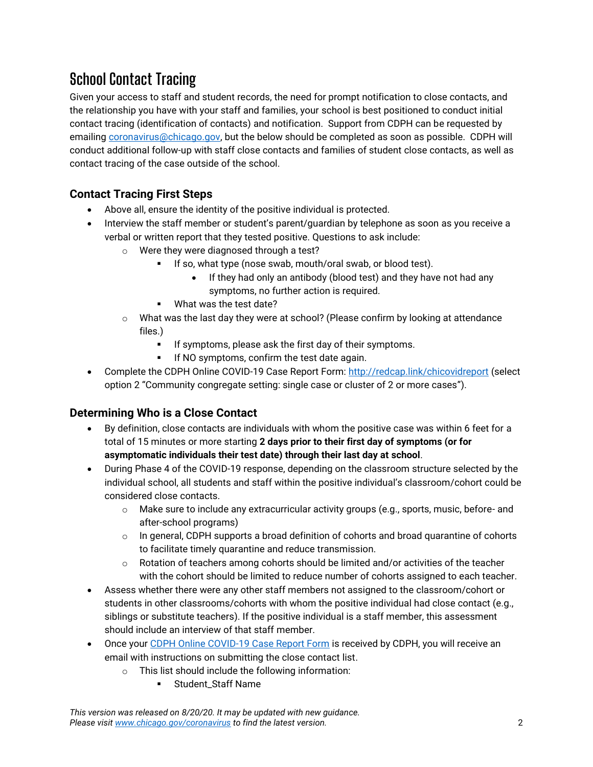# **School Contact Tracing**

Given your access to staff and student records, the need for prompt notification to close contacts, and the relationship you have with your staff and families, your school is best positioned to conduct initial contact tracing (identification of contacts) and notification. Support from CDPH can be requested by emailing [coronavirus@chicago.gov,](mailto:coronavirus@chicago.gov) but the below should be completed as soon as possible. CDPH will conduct additional follow-up with staff close contacts and families of student close contacts, as well as contact tracing of the case outside of the school.

### **Contact Tracing First Steps**

- Above all, ensure the identity of the positive individual is protected.
- Interview the staff member or student's parent/guardian by telephone as soon as you receive a verbal or written report that they tested positive. Questions to ask include:
	- o Were they were diagnosed through a test?
		- If so, what type (nose swab, mouth/oral swab, or blood test).
			- If they had only an antibody (blood test) and they have not had any symptoms, no further action is required.
		- **What was the test date?**
	- o What was the last day they were at school? (Please confirm by looking at attendance files.)
		- If symptoms, please ask the first day of their symptoms.
		- If NO symptoms, confirm the test date again.
- Complete the CDPH Online COVID-19 Case Report Form:<http://redcap.link/chicovidreport> (select option 2 "Community congregate setting: single case or cluster of 2 or more cases").

### **Determining Who is a Close Contact**

- By definition, close contacts are individuals with whom the positive case was within 6 feet for a total of 15 minutes or more starting **2 days prior to their first day of symptoms (or for asymptomatic individuals their test date) through their last day at school**.
- During Phase 4 of the COVID-19 response, depending on the classroom structure selected by the individual school, all students and staff within the positive individual's classroom/cohort could be considered close contacts.
	- o Make sure to include any extracurricular activity groups (e.g., sports, music, before- and after-school programs)
	- $\circ$  In general, CDPH supports a broad definition of cohorts and broad quarantine of cohorts to facilitate timely quarantine and reduce transmission.
	- $\circ$  Rotation of teachers among cohorts should be limited and/or activities of the teacher with the cohort should be limited to reduce number of cohorts assigned to each teacher.
- Assess whether there were any other staff members not assigned to the classroom/cohort or students in other classrooms/cohorts with whom the positive individual had close contact (e.g., siblings or substitute teachers). If the positive individual is a staff member, this assessment should include an interview of that staff member.
- Once your [CDPH Online COVID-19 Case Report Form](http://redcap.link/chicovidreport) is received by CDPH, you will receive an email with instructions on submitting the close contact list.
	- o This list should include the following information:
		- **EXECUTE:** Student Staff Name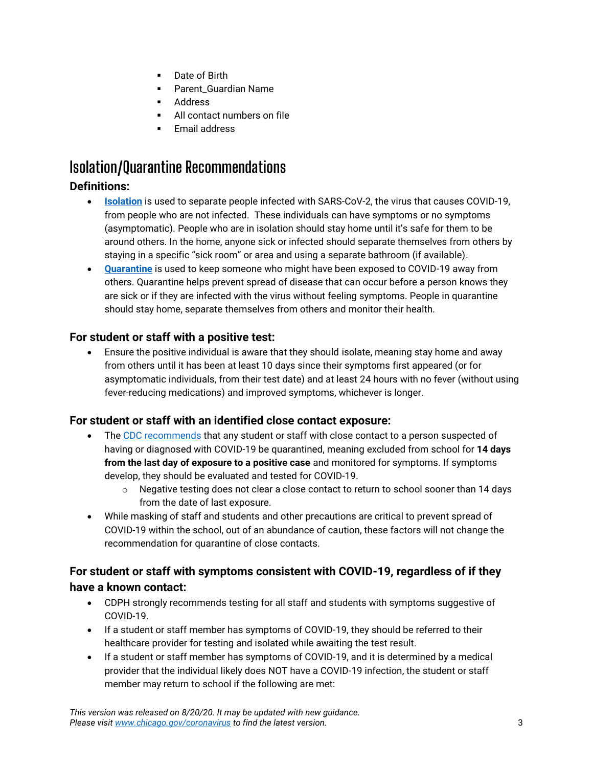- **Date of Birth**
- **•** Parent Guardian Name
- Address
- All contact numbers on file
- Email address

### **Isolation/Quarantine Recommendations**

### **Definitions:**

- **[Isolation](https://www.cdc.gov/coronavirus/2019-ncov/if-you-are-sick/isolation.html)** is used to separate people infected with SARS-CoV-2, the virus that causes COVID-19, from people who are not infected. These individuals can have symptoms or no symptoms (asymptomatic). People who are in isolation should stay home until it's safe for them to be around others. In the home, anyone sick or infected should separate themselves from others by staying in a specific "sick room" or area and using a separate bathroom (if available).
- **[Quarantine](https://www.cdc.gov/coronavirus/2019-ncov/if-you-are-sick/quarantine.html)** is used to keep someone who might have been exposed to COVID-19 away from others. Quarantine helps prevent spread of disease that can occur before a person knows they are sick or if they are infected with the virus without feeling symptoms. People in quarantine should stay home, separate themselves from others and monitor their health.

#### **For student or staff with a positive test:**

 Ensure the positive individual is aware that they should isolate, meaning stay home and away from others until it has been at least 10 days since their symptoms first appeared (or for asymptomatic individuals, from their test date) and at least 24 hours with no fever (without using fever-reducing medications) and improved symptoms, whichever is longer.

### **For student or staff with an identified close contact exposure:**

- The [CDC recommends](https://www.cdc.gov/coronavirus/2019-ncov/if-you-are-sick/quarantine.html) that any student or staff with close contact to a person suspected of having or diagnosed with COVID-19 be quarantined, meaning excluded from school for **14 days from the last day of exposure to a positive case** and monitored for symptoms. If symptoms develop, they should be evaluated and tested for COVID-19.
	- $\circ$  Negative testing does not clear a close contact to return to school sooner than 14 days from the date of last exposure.
- While masking of staff and students and other precautions are critical to prevent spread of COVID-19 within the school, out of an abundance of caution, these factors will not change the recommendation for quarantine of close contacts.

### **For student or staff with symptoms consistent with COVID-19, regardless of if they have a known contact:**

- CDPH strongly recommends testing for all staff and students with symptoms suggestive of COVID-19.
- If a student or staff member has symptoms of COVID-19, they should be referred to their healthcare provider for testing and isolated while awaiting the test result.
- If a student or staff member has symptoms of COVID-19, and it is determined by a medical provider that the individual likely does NOT have a COVID-19 infection, the student or staff member may return to school if the following are met: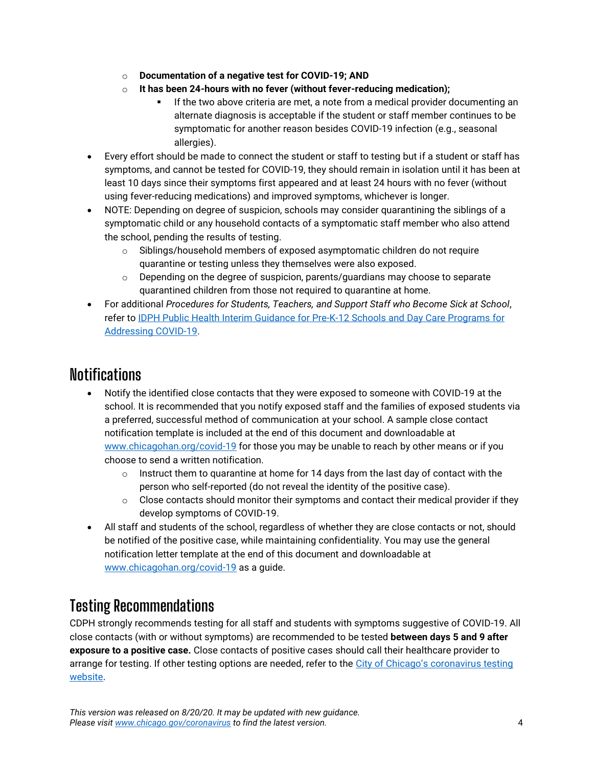- o **Documentation of a negative test for COVID-19; AND**
- o **It has been 24-hours with no fever (without fever-reducing medication);** 
	- If the two above criteria are met, a note from a medical provider documenting an alternate diagnosis is acceptable if the student or staff member continues to be symptomatic for another reason besides COVID-19 infection (e.g., seasonal allergies).
- Every effort should be made to connect the student or staff to testing but if a student or staff has symptoms, and cannot be tested for COVID-19, they should remain in isolation until it has been at least 10 days since their symptoms first appeared and at least 24 hours with no fever (without using fever-reducing medications) and improved symptoms, whichever is longer.
- NOTE: Depending on degree of suspicion, schools may consider quarantining the siblings of a symptomatic child or any household contacts of a symptomatic staff member who also attend the school, pending the results of testing.
	- o Siblings/household members of exposed asymptomatic children do not require quarantine or testing unless they themselves were also exposed.
	- o Depending on the degree of suspicion, parents/guardians may choose to separate quarantined children from those not required to quarantine at home.
- For additional *Procedures for Students, Teachers, and Support Staff who Become Sick at School*, refer to [IDPH Public Health Interim Guidance for Pre-K-12 Schools and Day Care Programs for](https://dph.illinois.gov/sites/default/files/COVID19/20200817_IDPH_School_Daycare_Guidanc.pdf)  [Addressing COVID-19.](https://dph.illinois.gov/sites/default/files/COVID19/20200817_IDPH_School_Daycare_Guidanc.pdf)

### **Notifications**

- Notify the identified close contacts that they were exposed to someone with COVID-19 at the school. It is recommended that you notify exposed staff and the families of exposed students via a preferred, successful method of communication at your school. A sample close contact notification template is included at the end of this document and downloadable at [www.chicagohan.org/covid-19](http://www.chicagohan.org/covid-19) for those you may be unable to reach by other means or if you choose to send a written notification.
	- $\circ$  Instruct them to quarantine at home for 14 days from the last day of contact with the person who self-reported (do not reveal the identity of the positive case).
	- $\circ$  Close contacts should monitor their symptoms and contact their medical provider if they develop symptoms of COVID-19.
- All staff and students of the school, regardless of whether they are close contacts or not, should be notified of the positive case, while maintaining confidentiality. You may use the general notification letter template at the end of this document and downloadable at [www.chicagohan.org/covid-19](http://www.chicagohan.org/covid-19) as a guide.

### **Testing Recommendations**

CDPH strongly recommends testing for all staff and students with symptoms suggestive of COVID-19. All close contacts (with or without symptoms) are recommended to be tested **between days 5 and 9 after exposure to a positive case.** Close contacts of positive cases should call their healthcare provider to arrange for testing. If other testing options are needed, refer to the [City of Chicago's coronaviru](https://www.chicago.gov/city/en/sites/covid-19/home/managing-your-health.html?#tab-shouldtest)s testing [website.](https://www.chicago.gov/city/en/sites/covid-19/home/managing-your-health.html?#tab-shouldtest)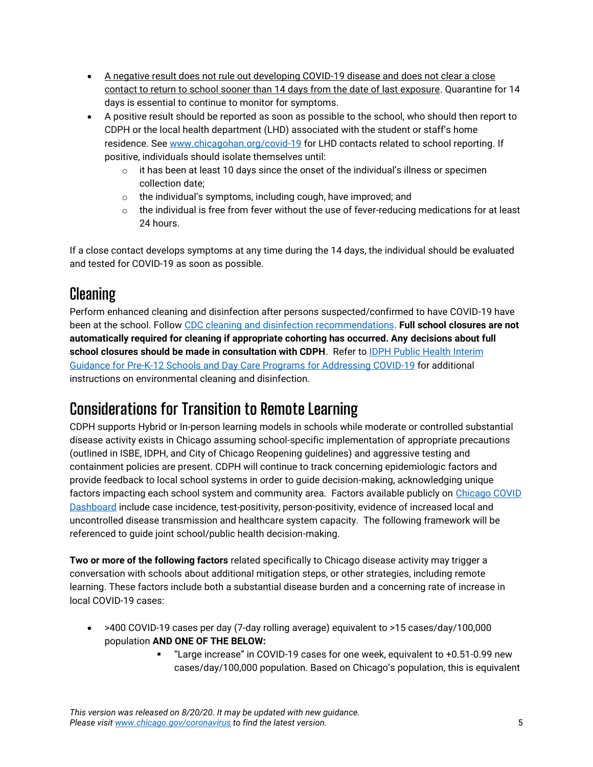- A negative result does not rule out developing COVID-19 disease and does not clear a close contact to return to school sooner than 14 days from the date of last exposure. Quarantine for 14 days is essential to continue to monitor for symptoms.
- A positive result should be reported as soon as possible to the school, who should then report to CDPH or the local health department (LHD) associated with the student or staff's home residence. See [www.chicagohan.org/covid-19](http://www.chicagohan.org/covid-19) for LHD contacts related to school reporting. If positive, individuals should isolate themselves until:
	- $\circ$  it has been at least 10 days since the onset of the individual's illness or specimen collection date;
	- $\circ$  the individual's symptoms, including cough, have improved; and
	- $\circ$  the individual is free from fever without the use of fever-reducing medications for at least 24 hours.

If a close contact develops symptoms at any time during the 14 days, the individual should be evaluated and tested for COVID-19 as soon as possible.

### **Cleaning**

Perform enhanced cleaning and disinfection after persons suspected/confirmed to have COVID-19 have been at the school. Follow [CDC cleaning and disinfection recommendations.](https://www.cdc.gov/coronavirus/2019-ncov/community/disinfecting-building-facility.html) **Full school closures are not automatically required for cleaning if appropriate cohorting has occurred. Any decisions about full**  school closures should be made in consultation with CDPH. Refer to **IDPH Public Health Interim** Guidance for Pre-K-12 Schools [and Day Care Programs for Addressing COVID-19](https://dph.illinois.gov/sites/default/files/COVID19/20200817_IDPH_School_Daycare_Guidanc.pdf) for additional instructions on environmental cleaning and disinfection.

# **Considerations for Transition to Remote Learning**

CDPH supports Hybrid or In-person learning models in schools while moderate or controlled substantial disease activity exists in Chicago assuming school-specific implementation of appropriate precautions (outlined in ISBE, IDPH, and City of Chicago Reopening guidelines) and aggressive testing and containment policies are present. CDPH will continue to track concerning epidemiologic factors and provide feedback to local school systems in order to guide decision-making, acknowledging unique factors impacting each school system and community area. Factors available publicly on [Chicago COVID](https://www.chicago.gov/city/en/sites/covid-19/home/covid-dashboard.html)  [Dashboard](https://www.chicago.gov/city/en/sites/covid-19/home/covid-dashboard.html) include case incidence, test-positivity, person-positivity, evidence of increased local and uncontrolled disease transmission and healthcare system capacity. The following framework will be referenced to guide joint school/public health decision-making.

**Two or more of the following factors** related specifically to Chicago disease activity may trigger a conversation with schools about additional mitigation steps, or other strategies, including remote learning. These factors include both a substantial disease burden and a concerning rate of increase in local COVID-19 cases:

- >400 COVID-19 cases per day (7-day rolling average) equivalent to >15 cases/day/100,000 population **AND ONE OF THE BELOW:**
	- "Large increase" in COVID-19 cases for one week, equivalent to +0.51-0.99 new cases/day/100,000 population. Based on Chicago's population, this is equivalent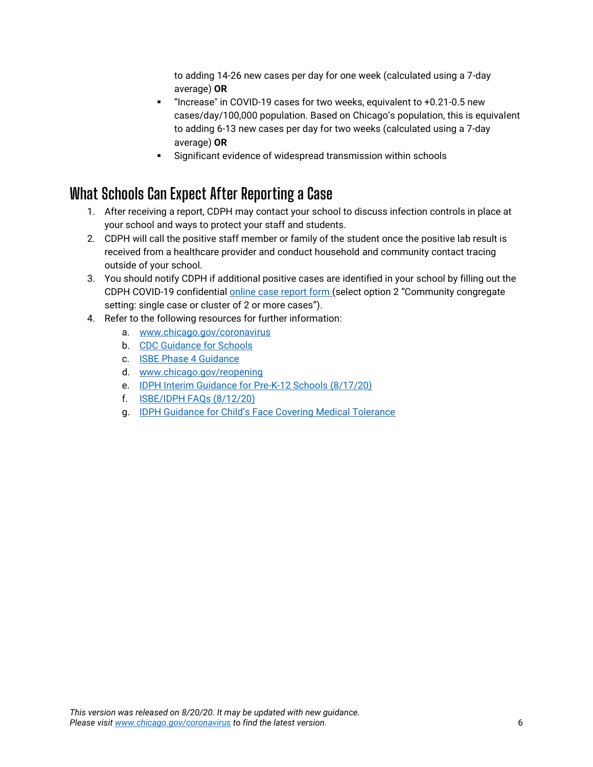to adding 14-26 new cases per day for one week (calculated using a 7-day average) **OR**

- "Increase" in COVID-19 cases for two weeks, equivalent to +0.21-0.5 new cases/day/100,000 population. Based on Chicago's population, this is equivalent to adding 6-13 new cases per day for two weeks (calculated using a 7-day average) **OR**
- Significant evidence of widespread transmission within schools

# **What Schools Can Expect After Reporting a Case**

- 1. After receiving a report, CDPH may contact your school to discuss infection controls in place at your school and ways to protect your staff and students.
- 2. CDPH will call the positive staff member or family of the student once the positive lab result is received from a healthcare provider and conduct household and community contact tracing outside of your school.
- 3. You should notify CDPH if additional positive cases are identified in your school by filling out the CDPH COVID-19 confidential [online case report form](http://redcap.link/chicovidreport) (select option 2 "Community congregate setting: single case or cluster of 2 or more cases").
- 4. Refer to the following resources for further information:
	- a. [www.chicago.gov/coronavirus](http://www.chicago.gov/coronavirus)
	- b. [CDC Guidance for Schools](https://www.cdc.gov/coronavirus/2019-ncov/community/schools-childcare/index.html)
	- c. [ISBE Phase 4 Guidance](https://www.isbe.net/Documents/Part-3-Transition-Planning-Phase-4.pdf)
	- d. [www.chicago.gov/reopening](http://www.chicago.gov/reopening)
	- e. [IDPH Interim Guidance for Pre-K-12 Schools](https://dph.illinois.gov/sites/default/files/COVID19/20200817_IDPH_School_Daycare_Guidanc.pdf) (8/17/20)
	- f. [ISBE/IDPH FAQs \(8/12/20\)](https://dph.illinois.gov/sites/default/files/IDPH-School-FAQs.pdf)
	- g. [IDPH Guidance for Child's Face Covering Medical Tolerance](https://dph.illinois.gov/covid19/community-guidance/child-face-coverings-schools)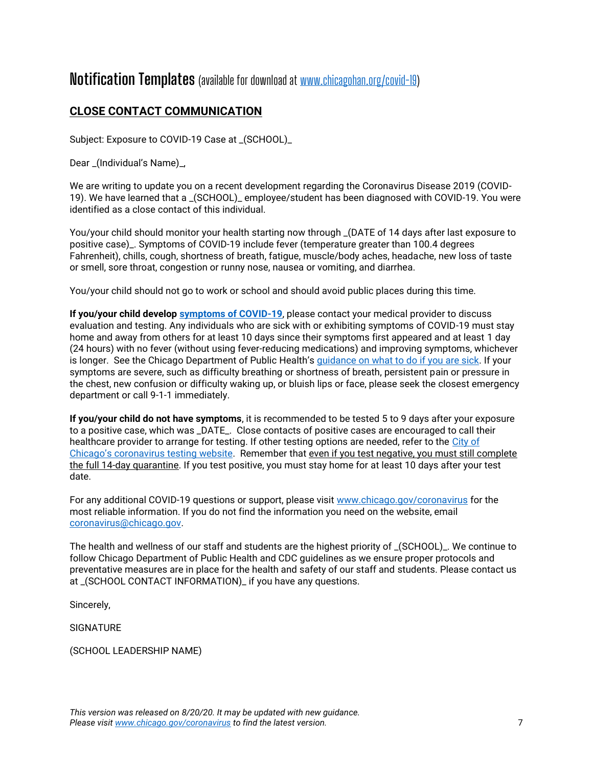### **Notification Templates** (available for download at [www.chicagohan.org/covid-19\)](http://www.chicagohan.org/covid-19)

### **CLOSE CONTACT COMMUNICATION**

Subject: Exposure to COVID-19 Case at \_(SCHOOL)\_

Dear \_(Individual's Name)\_,

We are writing to update you on a recent development regarding the Coronavirus Disease 2019 (COVID-19). We have learned that a \_(SCHOOL)\_ employee/student has been diagnosed with COVID-19. You were identified as a close contact of this individual.

You/your child should monitor your health starting now through \_(DATE of 14 days after last exposure to positive case)\_. Symptoms of COVID-19 include fever (temperature greater than 100.4 degrees Fahrenheit), chills, cough, shortness of breath, fatigue, muscle/body aches, headache, new loss of taste or smell, sore throat, congestion or runny nose, nausea or vomiting, and diarrhea.

You/your child should not go to work or school and should avoid public places during this time.

**If you/your child develop [symptoms of COVID-19](https://www.cdc.gov/coronavirus/2019-ncov/symptoms-testing/symptoms.html)**, please contact your medical provider to discuss evaluation and testing. Any individuals who are sick with or exhibiting symptoms of COVID-19 must stay home and away from others for at least 10 days since their symptoms first appeared and at least 1 day (24 hours) with no fever (without using fever-reducing medications) and improving symptoms, whichever is longer. See the Chicago Department of Public Health's [guidance on what to do if you are sick.](https://www.chicago.gov/city/en/sites/covid-19/home/managing-your-health.html?#tab-protect) If your symptoms are severe, such as difficulty breathing or shortness of breath, persistent pain or pressure in the chest, new confusion or difficulty waking up, or bluish lips or face, please seek the closest emergency department or call 9-1-1 immediately.

**If you/your child do not have symptoms**, it is recommended to be tested 5 to 9 days after your exposure to a positive case, which was \_DATE\_. Close contacts of positive cases are encouraged to call their healthcare provider to arrange for testing. If other testing options are needed, refer to the [City of](https://www.chicago.gov/city/en/sites/covid-19/home/managing-your-health.html?#tab-shouldtest)  [Chicago's coronavirus testing website](https://www.chicago.gov/city/en/sites/covid-19/home/managing-your-health.html?#tab-shouldtest). Remember that even if you test negative, you must still complete the full 14-day quarantine. If you test positive, you must stay home for at least 10 days after your test date.

For any additional COVID-19 questions or support, please visit [www.chicago.gov/coronavirus](http://www.chicago.gov/coronavirus) for the most reliable information. If you do not find the information you need on the website, email [coronavirus@chicago.gov.](mailto:coronavirus@chicago.gov)

The health and wellness of our staff and students are the highest priority of \_(SCHOOL)\_. We continue to follow Chicago Department of Public Health and CDC guidelines as we ensure proper protocols and preventative measures are in place for the health and safety of our staff and students. Please contact us at \_(SCHOOL CONTACT INFORMATION)\_ if you have any questions.

Sincerely,

**SIGNATURE** 

(SCHOOL LEADERSHIP NAME)